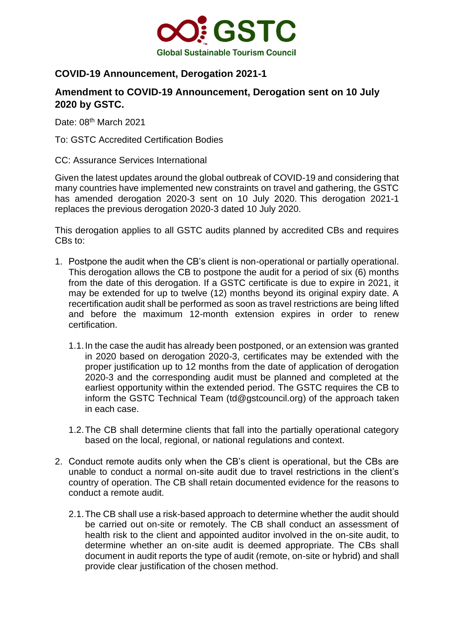

## **COVID-19 Announcement, Derogation 2021-1**

## **Amendment to COVID-19 Announcement, Derogation sent on 10 July 2020 by GSTC.**

Date: 08<sup>th</sup> March 2021

To: GSTC Accredited Certification Bodies

CC: Assurance Services International

Given the latest updates around the global outbreak of COVID-19 and considering that many countries have implemented new constraints on travel and gathering, the GSTC has amended derogation 2020-3 sent on 10 July 2020. This derogation 2021-1 replaces the previous derogation 2020-3 dated 10 July 2020.

This derogation applies to all GSTC audits planned by accredited CBs and requires CBs to:

- 1. Postpone the audit when the CB's client is non-operational or partially operational. This derogation allows the CB to postpone the audit for a period of six (6) months from the date of this derogation. If a GSTC certificate is due to expire in 2021, it may be extended for up to twelve (12) months beyond its original expiry date. A recertification audit shall be performed as soon as travel restrictions are being lifted and before the maximum 12-month extension expires in order to renew certification.
	- 1.1.In the case the audit has already been postponed, or an extension was granted in 2020 based on derogation 2020-3, certificates may be extended with the proper justification up to 12 months from the date of application of derogation 2020-3 and the corresponding audit must be planned and completed at the earliest opportunity within the extended period. The GSTC requires the CB to inform the GSTC Technical Team [\(td@gstcouncil.org\)](mailto:td@gstcouncil.org) of the approach taken in each case.
	- 1.2.The CB shall determine clients that fall into the partially operational category based on the local, regional, or national regulations and context.
- 2. Conduct remote audits only when the CB's client is operational, but the CBs are unable to conduct a normal on-site audit due to travel restrictions in the client's country of operation. The CB shall retain documented evidence for the reasons to conduct a remote audit.
	- 2.1.The CB shall use a risk-based approach to determine whether the audit should be carried out on-site or remotely. The CB shall conduct an assessment of health risk to the client and appointed auditor involved in the on-site audit, to determine whether an on-site audit is deemed appropriate. The CBs shall document in audit reports the type of audit (remote, on-site or hybrid) and shall provide clear justification of the chosen method.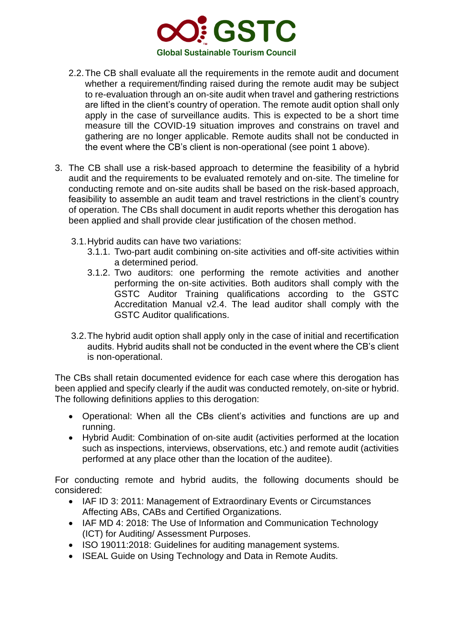

- 2.2.The CB shall evaluate all the requirements in the remote audit and document whether a requirement/finding raised during the remote audit may be subject to re-evaluation through an on-site audit when travel and gathering restrictions are lifted in the client's country of operation. The remote audit option shall only apply in the case of surveillance audits. This is expected to be a short time measure till the COVID-19 situation improves and constrains on travel and gathering are no longer applicable. Remote audits shall not be conducted in the event where the CB's client is non-operational (see point 1 above).
- 3. The CB shall use a risk-based approach to determine the feasibility of a hybrid audit and the requirements to be evaluated remotely and on-site. The timeline for conducting remote and on-site audits shall be based on the risk-based approach, feasibility to assemble an audit team and travel restrictions in the client's country of operation. The CBs shall document in audit reports whether this derogation has been applied and shall provide clear justification of the chosen method.
	- 3.1.Hybrid audits can have two variations:
		- 3.1.1. Two-part audit combining on-site activities and off-site activities within a determined period.
		- 3.1.2. Two auditors: one performing the remote activities and another performing the on-site activities. Both auditors shall comply with the GSTC Auditor Training qualifications according to the GSTC Accreditation Manual v2.4. The lead auditor shall comply with the GSTC Auditor qualifications.
	- 3.2.The hybrid audit option shall apply only in the case of initial and recertification audits. Hybrid audits shall not be conducted in the event where the CB's client is non-operational.

The CBs shall retain documented evidence for each case where this derogation has been applied and specify clearly if the audit was conducted remotely, on-site or hybrid. The following definitions applies to this derogation:

- Operational: When all the CBs client's activities and functions are up and running.
- Hybrid Audit: Combination of on-site audit (activities performed at the location such as inspections, interviews, observations, etc.) and remote audit (activities performed at any place other than the location of the auditee).

For conducting remote and hybrid audits, the following documents should be considered:

- IAF ID 3: 2011: Management of Extraordinary Events or Circumstances Affecting ABs, CABs and Certified Organizations.
- IAF MD 4: 2018: The Use of Information and Communication Technology (ICT) for Auditing/ Assessment Purposes.
- ISO 19011:2018: Guidelines for auditing management systems.
- ISEAL Guide on Using Technology and Data in Remote Audits.